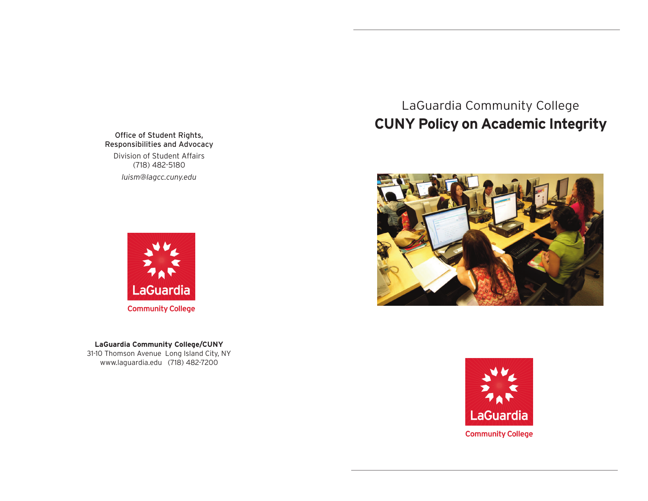Office of Student Rights, Responsibilities and Advocacy Division of Student Affairs (718) 482-5180 *luism@lagcc.cuny.edu*



31-10 Thomson Avenue Long Island City, NY www.laguardia.edu (718) 4827200**LaGuardia Community College/CUNY**

# LaGuardia Community College **CUNY Policy on Academic Integrity**



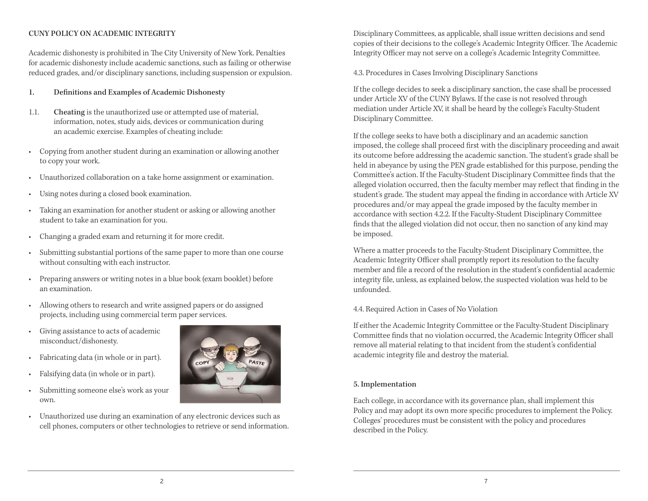# CUNY POLICY ON ACADEMIC INTEGRITY

Academic dishonesty is prohibited in The City University of New York. Penalties for academic dishonesty include academic sanctions, such as failing or otherwise reduced grades, and/or disciplinary sanctions, including suspension or expulsion.

## 1! Definitions and Examples of Academic Dishonesty

- 1.1. Cheating is the unauthorized use or attempted use of material, information, notes, study aids, devices or communication during an academic exercise. Examples of cheating include:
- • Copying from another student during an examination or allowing another to copy your work.
- Unauthorized collaboration on a take home assignment or examination.
- Using notes during a closed book examination.
- $\bullet$  student to take an examination for you. Taking an examination for another student or asking or allowing another
- Changing a graded exam and returning it for more credit.
- • Submitting substantial portions of the same paper to more than one course without consulting with each instructor.
- • Preparing answers or writing notes in a blue book (exam booklet) before an examination.
- • Allowing others to research and write assigned papers or do assigned projects, including using commercial term paper services.
- $\bullet$ • Giving assistance to acts of academic misconduct/dishonesty.
- Fabricating data (in whole or in part).
- Falsifying data (in whole or in part).
- • Submitting someone else's work as your own.
- • Unauthorized use during an examination of any electronic devices such as cell phones, computers or other technologies to retrieve or send information.

 Disciplinary Committees, as applicable, shall issue written decisions and send copies of their decisions to the college's Academic Integrity Officer. The Academic Integrity Officer may not serve on a college's Academic Integrity Committee.

4.3. Procedures in Cases Involving Disciplinary Sanctions

 If the college decides to seek a disciplinary sanction, the case shall be processed under Article XV of the CUNY Bylaws. If the case is not resolved through mediation under Article XV, it shall be heard by the college's Faculty-Student Disciplinary Committee.

 If the college seeks to have both a disciplinary and an academic sanction imposed, the college shall proceed first with the disciplinary proceeding and await its outcome before addressing the academic sanction. The student's grade shall be held in abeyance by using the PEN grade established for this purpose, pending the Committee's action. If the Faculty-Student Disciplinary Committee finds that the alleged violation occurred, then the faculty member may reflect that finding in the student's grade. The student may appeal the finding in accordance with Article XV procedures and/or may appeal the grade imposed by the faculty member in accordance with section 4.2.2. If the Faculty-Student Disciplinary Committee finds that the alleged violation did not occur, then no sanction of any kind may be imposed.

 Where a matter proceeds to the Faculty-Student Disciplinary Committee, the Academic Integrity Officer shall promptly report its resolution to the faculty member and file a record of the resolution in the student's confidential academic integrity file, unless, as explained below, the suspected violation was held to be unfounded.

4.4. Required Action in Cases of No Violation

 If either the Academic Integrity Committee or the Faculty-Student Disciplinary Committee finds that no violation occurred, the Academic Integrity Officer shall remove all material relating to that incident from the student's confidential academic integrity file and destroy the material.

#### 5. Implementation

 Each college, in accordance with its governance plan, shall implement this Policy and may adopt its own more specific procedures to implement the Policy. Colleges' procedures must be consistent with the policy and procedures described in the Policy.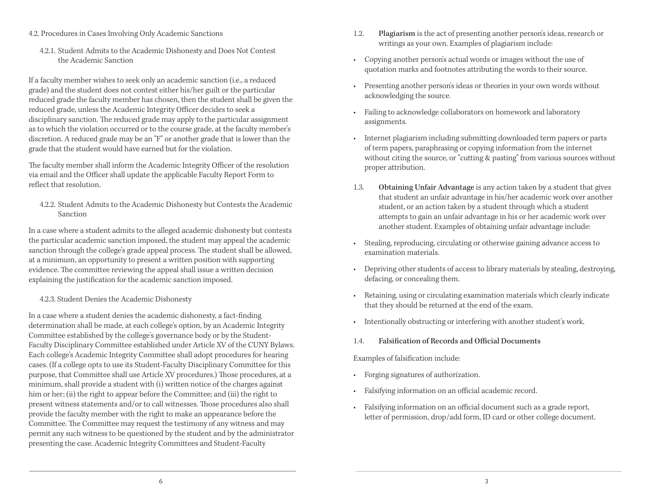- 4.2. Procedures in Cases Involving Only Academic Sanctions
	- 4.2.1. Student Admits to the Academic Dishonesty and Does Not Contest the Academic Sanction

 If a faculty member wishes to seek only an academic sanction (i.e., a reduced grade) and the student does not contest either his/her guilt or the particular reduced grade the faculty member has chosen, then the student shall be given the reduced grade, unless the Academic Integrity Officer decides to seek a disciplinary sanction. The reduced grade may apply to the particular assignment as to which the violation occurred or to the course grade, at the faculty member's discretion. A reduced grade may be an "F" or another grade that is lower than the grade that the student would have earned but for the violation.

The faculty member shall inform the Academic Integrity Officer of the resolution via email and the Officer shall update the applicable Faculty Report Form to reflect that resolution.

 4.2.2. Student Admits to the Academic Dishonesty but Contests the Academic Sanction

 In a case where a student admits to the alleged academic dishonesty but contests the particular academic sanction imposed, the student may appeal the academic sanction through the college's grade appeal process. The student shall be allowed, at a minimum, an opportunity to present a written position with supporting evidence. The committee reviewing the appeal shall issue a written decision explaining the justification for the academic sanction imposed.

4.2.3. Student Denies the Academic Dishonesty

 In a case where a student denies the academic dishonesty, a fact-finding determination shall be made, at each college's option, by an Academic Integrity Committee established by the college's governance body or by the Student- Faculty Disciplinary Committee established under Article XV of the CUNY Bylaws. Each college's Academic Integrity Committee shall adopt procedures for hearing cases. (If a college opts to use its Student-Faculty Disciplinary Committee for this purpose, that Committee shall use Article XV procedures.) Those procedures, at a minimum, shall provide a student with (i) written notice of the charges against him or her; (ii) the right to appear before the Committee; and (iii) the right to present witness statements and/or to call witnesses. Those procedures also shall provide the faculty member with the right to make an appearance before the Committee. The Committee may request the testimony of any witness and may permit any such witness to be questioned by the student and by the administrator presenting the case. Academic Integrity Committees and Student-Faculty

- 1.2. Plagiarism is the act of presenting another person's ideas, research or writings as your own. Examples of plagiarism include:
- • Copying another person's actual words or images without the use of quotation marks and footnotes attributing the words to their source.
- • Presenting another person's ideas or theories in your own words without acknowledging the source.
- • Failing to acknowledge collaborators on homework and laboratory assignments.
- • Internet plagiarism including submitting downloaded term papers or parts of term papers, paraphrasing or copying information from the internet without citing the source, or "cutting & pasting" from various sources without proper attribution.
- 1.3. Obtaining Unfair Advantage is any action taken by a student that gives that student an unfair advantage in his/her academic work over another student, or an action taken by a student through which a student attempts to gain an unfair advantage in his or her academic work over another student. Examples of obtaining unfair advantage include:
- • Stealing, reproducing, circulating or otherwise gaining advance access to examination materials.
- • Depriving other students of access to library materials by stealing, destroying, defacing, or concealing them.
- • Retaining, using or circulating examination materials which clearly indicate that they should be returned at the end of the exam.
- Intentionally obstructing or interfering with another student's work.
- 1.4. Falsification of Records and Official Documents

Examples of falsification include:

- Forging signatures of authorization.
- Falsifying information on an official academic record.
- letter of permission, drop/add form, ID card or other college document. • Falsifying information on an official document such as a grade report,